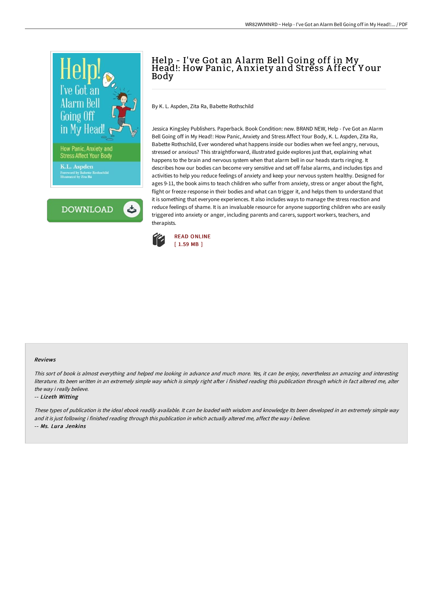

**DOWNLOAD** 

# Help - I've Got an Alarm Bell Going off in My<br>Head!: How Panic, Anxiety and Stress Affect Your Body

By K. L. Aspden, Zita Ra, Babette Rothschild

Jessica Kingsley Publishers. Paperback. Book Condition: new. BRAND NEW, Help - I've Got an Alarm Bell Going off in My Head!: How Panic, Anxiety and Stress Affect Your Body, K. L. Aspden, Zita Ra, Babette Rothschild, Ever wondered what happens inside our bodies when we feel angry, nervous, stressed or anxious? This straightforward, illustrated guide explores just that, explaining what happens to the brain and nervous system when that alarm bell in our heads starts ringing. It describes how our bodies can become very sensitive and set off false alarms, and includes tips and activities to help you reduce feelings of anxiety and keep your nervous system healthy. Designed for ages 9-11, the book aims to teach children who suffer from anxiety, stress or anger about the fight, flight or freeze response in their bodies and what can trigger it, and helps them to understand that it is something that everyone experiences. It also includes ways to manage the stress reaction and reduce feelings of shame. It is an invaluable resource for anyone supporting children who are easily triggered into anxiety or anger, including parents and carers, support workers, teachers, and therapists.



#### Reviews

This sort of book is almost everything and helped me looking in advance and much more. Yes, it can be enjoy, nevertheless an amazing and interesting literature. Its been written in an extremely simple way which is simply right after i finished reading this publication through which in fact altered me, alter the way i really believe.

#### -- Lizeth Witting

These types of publication is the ideal ebook readily available. It can be loaded with wisdom and knowledge Its been developed in an extremely simple way and it is just following i finished reading through this publication in which actually altered me, affect the way i believe. -- Ms. Lura Jenkins